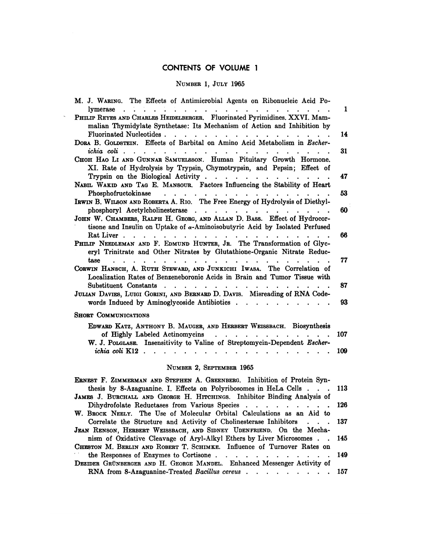## CONTENTS OF VOLUME 1 NTENTS OF VOLUME 1<br>Number 1, July 1965

 $\sim$ 

| CONTENTO OF YOLUME T                                                                                                                                                                                                                                          |          |
|---------------------------------------------------------------------------------------------------------------------------------------------------------------------------------------------------------------------------------------------------------------|----------|
| NUMBER 1, JULY 1965                                                                                                                                                                                                                                           |          |
| M. J. WARING. The Effects of Antimicrobial Agents on Ribonucleic Acid Po-<br>lymerase<br>$\mathcal{L} = \mathcal{L} \times \mathcal{L}$<br>$\sim$ $\sim$ $\sim$                                                                                               | 1        |
| PHILIP REYES AND CHARLES HEIDELBERGER. Fluorinated Pyrimidines, XXVI. Mam-<br>malian Thymidylate Synthetase: Its Mechanism of Action and Inhibition by<br>Fluorinated Nucleotides.                                                                            |          |
| $\mathbf{r}$ , $\mathbf{r}$ , $\mathbf{r}$<br>DORA B. GOLDSTEIN. Effects of Barbital on Amino Acid Metabolism in Escher-<br>ichia coli $\cdots$ $\cdots$ $\cdots$ $\cdots$ $\cdots$ $\cdots$ $\cdots$ $\cdots$ $\cdots$                                       | 14<br>31 |
| CHOH HAO LI AND GUNNAR SAMUELSSON. Human Pituitary Growth Hormone.<br>XI. Rate of Hydrolysis by Trypsin, Chymotrypsin, and Pepsin; Effect of                                                                                                                  |          |
| Trypsin on the Biological Activity<br>NABIL WAKID AND TAG E. MANSOUR. Factors Influencing the Stability of Heart                                                                                                                                              | 47<br>53 |
| Phosphofructokinase<br>IRWIN B. WILSON AND ROBERTA A. RIO. The Free Energy of Hydrolysis of Diethyl-<br>phosphoryl Acetylcholinesterase                                                                                                                       | 60       |
| JOHN W. CHAMBERS, RALPH H. GEORG, AND ALLAN D. BASS. Effect of Hydrocor-<br>tisone and Insulin on Uptake of $\alpha$ -Aminoisobutyric Acid by Isolated Perfused                                                                                               |          |
| PHILIP NEEDLEMAN AND F. EDMUND HUNTER, JR. The Transformation of Glyc-<br>eryl Trinitrate and Other Nitrates by Glutathione-Organic Nitrate Reduc-                                                                                                            | 66       |
| tase<br>$\mathbf{r}$ , $\mathbf{r}$ , $\mathbf{r}$ , $\mathbf{r}$<br>$\ddot{\phantom{a}}$<br>$\bullet$<br>CORWIN HANSCH, A. RUTH STEWARD, AND JUNKICHI IWASA. The Correlation of<br>Localization Rates of Benzeneboronic Acids in Brain and Tumor Tissue with | 77       |
| Substituent Constants<br>$\cdot$ $\cdot$ $\cdot$ $\cdot$ $\cdot$<br>JULIAN DAVIES, LUIGI GORINI, AND BERNARD D. DAVIS. Misreading of RNA Code-                                                                                                                | 87       |
| words Induced by Aminoglycoside Antibiotics<br><b>SHORT COMMUNICATIONS</b>                                                                                                                                                                                    | 93       |
| EDWARD KATZ, ANTHONY B. MAUGER, AND HERBERT WEISSBACH. Biosynthesis<br>of Highly Labeled Actinomycins                                                                                                                                                         | 107      |
| W. J. POLGLASE. Insensitivity to Valine of Streptomycin-Dependent Escher-<br>ichia coli $K12$                                                                                                                                                                 | 109      |
| NUMBER 2, SEPTEMBER 1965                                                                                                                                                                                                                                      |          |
| ERNEST F. ZIMMERMAN AND STEPHEN A. GREENBERG. Inhibition of Protein Syn-<br>thesis by 8-Azaguanine. I. Effects on Polyribosomes in HeLa Cells.                                                                                                                | 113      |

## NUMBER 2, SEPTEMBER <sup>1965</sup>

| NUMBER 2, SEPTEMBER 1965                                                                                                                           |  |
|----------------------------------------------------------------------------------------------------------------------------------------------------|--|
| <b>ERNEST F. ZIMMERMAN AND STEPHEN A. GREENBERG.</b> Inhibition of Protein Syn-                                                                    |  |
| thesis by 8-Azaguanine. I. Effects on Polyribosomes in HeLa Cells 113<br>JAMES J. BURCHALL AND GEORGE H. HITCHINGS. Inhibitor Binding Analysis of  |  |
| Dihydrofolate Reductases from Various Species 126<br>W. BROCK NEELY. The Use of Molecular Orbital Calculations as an Aid to                        |  |
| Correlate the Structure and Activity of Cholinesterase Inhibitors 137<br>JEAN RENSON, HERBERT WEISSBACH, AND SIDNEY UDENFRIEND. On the Mecha-      |  |
| nism of Oxidative Cleavage of Aryl-Alkyl Ethers by Liver Microsomes 145<br>CHESTON M. BERLIN AND ROBERT T. SCHIMKE. Influence of Turnover Rates on |  |
| DEZIDER GRÜNBERGER AND H. GEORGE MANDEL. Enhanced Messenger Activity of                                                                            |  |
| RNA from 8-Azaguanine-Treated Bacillus cereus 157                                                                                                  |  |